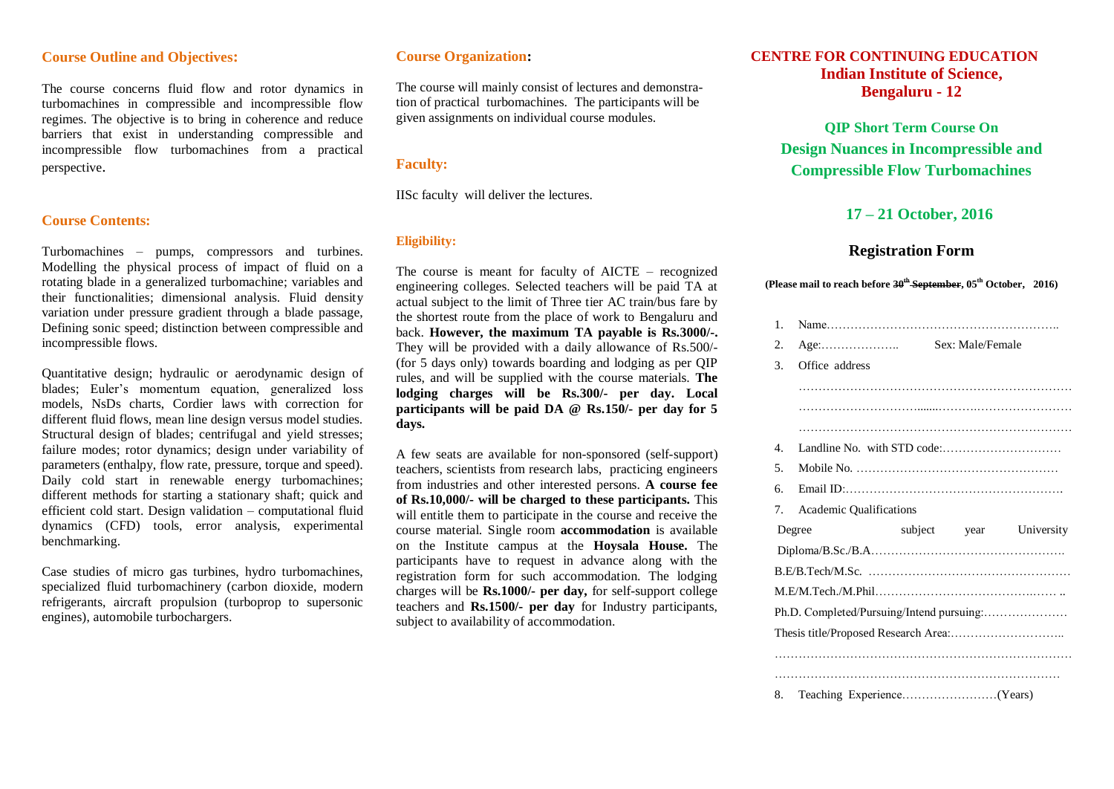#### **Course Outline and Objectives:**

The course concerns fluid flow and rotor dynamics in turbomachines in compressible and incompressible flow regimes. The objective is to bring in coherence and reduce barriers that exist in understanding compressible and incompressible flow turbomachines from a practical perspective.

#### **Course Contents:**

Turbomachines – pumps, compressors and turbines. Modelling the physical process of impact of fluid on a rotating blade in a generalized turbomachine; variables and their functionalities; dimensional analysis. Fluid density variation under pressure gradient through a blade passage, Defining sonic speed; distinction between compressible and incompressible flows.

Quantitative design; hydraulic or aerodynamic design of blades; Euler's momentum equation, generalized loss models, NsDs charts, Cordier laws with correction for different fluid flows, mean line design versus model studies. Structural design of blades; centrifugal and yield stresses; failure modes; rotor dynamics; design under variability of parameters (enthalpy, flow rate, pressure, torque and speed). Daily cold start in renewable energy turbomachines; different methods for starting a stationary shaft; quick and efficient cold start. Design validation – computational fluid dynamics (CFD) tools, error analysis, experimental benchmarking.

Case studies of micro gas turbines, hydro turbomachines, specialized fluid turbomachinery (carbon dioxide, modern refrigerants, aircraft propulsion (turboprop to supersonic engines), automobile turbochargers.

#### **Course Organization:**

The course will mainly consist of lectures and demonstration of practical turbomachines. The participants will be given assignments on individual course modules.

#### **Faculty:**

IISc faculty will deliver the lectures.

#### **Eligibility:**

The course is meant for faculty of AICTE – recognized engineering colleges. Selected teachers will be paid TA at actual subject to the limit of Three tier AC train/bus fare by the shortest route from the place of work to Bengaluru and back. **However, the maximum TA payable is Rs.3000/-.** They will be provided with a daily allowance of Rs.500/- (for 5 days only) towards boarding and lodging as per QIP rules, and will be supplied with the course materials. **The lodging charges will be Rs.300/- per day. Local participants will be paid DA @ Rs.150/- per day for 5 days.**

A few seats are available for non-sponsored (self-support) teachers, scientists from research labs, practicing engineers from industries and other interested persons. **A course fee of Rs.10,000/- will be charged to these participants.** This will entitle them to participate in the course and receive the course material. Single room **accommodation** is available on the Institute campus at the **Hoysala House.** The participants have to request in advance along with the registration form for such accommodation. The lodging charges will be **Rs.1000/- per day,** for self-support college teachers and **Rs.1500/- per day** for Industry participants, subject to availability of accommodation.

### **CENTRE FOR CONTINUING EDUCATION Indian Institute of Science, Bengaluru - 12**

**QIP Short Term Course On Design Nuances in Incompressible and Compressible Flow Turbomachines**

### **17 – 21 October, 2016**

#### **Registration Form**

**(Please mail to reach before 30th September, 05th October, 2016)**

| 1.          |                         |         |      |            |
|-------------|-------------------------|---------|------|------------|
| 2.          |                         |         |      |            |
| 3.          | Office address          |         |      |            |
|             |                         |         |      |            |
|             |                         |         |      |            |
|             |                         |         |      |            |
| $4_{\cdot}$ |                         |         |      |            |
| 5.          |                         |         |      |            |
| б.          |                         |         |      |            |
| 7.          | Academic Qualifications |         |      |            |
|             | Degree                  | subject | year | University |
|             |                         |         |      |            |
|             |                         |         |      |            |
|             |                         |         |      |            |
|             |                         |         |      |            |
|             |                         |         |      |            |
|             |                         |         |      |            |
|             |                         |         |      |            |
| 8.          |                         |         |      |            |